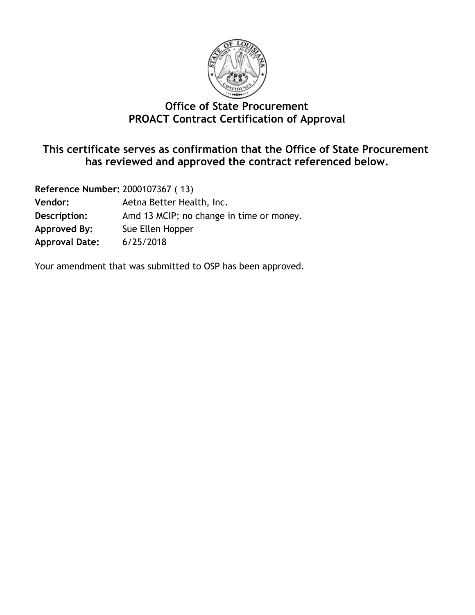

#### **Office of State Procurement PROACT Contract Certification of Approval**

#### **This certificate serves as confirmation that the Office of State Procurement has reviewed and approved the contract referenced below.**

| Reference Number: 2000107367 (13) |                                          |  |  |  |
|-----------------------------------|------------------------------------------|--|--|--|
| <b>Vendor:</b>                    | Aetna Better Health, Inc.                |  |  |  |
| Description:                      | Amd 13 MCIP; no change in time or money. |  |  |  |
| Approved By:                      | Sue Ellen Hopper                         |  |  |  |
| <b>Approval Date:</b>             | 6/25/2018                                |  |  |  |

Your amendment that was submitted to OSP has been approved.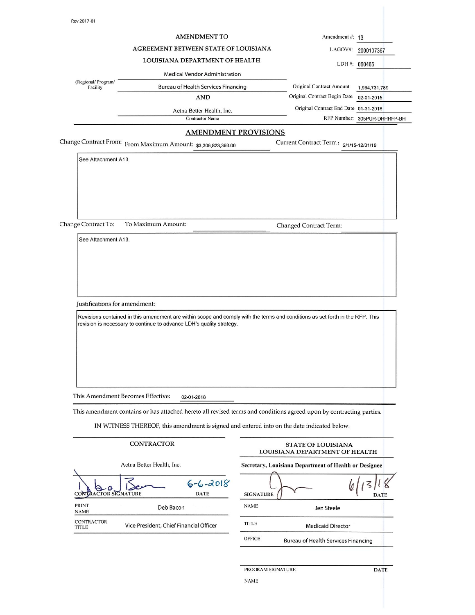|                                 | <b>AMENDMENT TO</b>                                                                                                                                                                                                                                                                       |                   | Amendment #: 13                                                                         |                              |
|---------------------------------|-------------------------------------------------------------------------------------------------------------------------------------------------------------------------------------------------------------------------------------------------------------------------------------------|-------------------|-----------------------------------------------------------------------------------------|------------------------------|
|                                 | AGREEMENT BETWEEN STATE OF LOUISIANA                                                                                                                                                                                                                                                      |                   | LAGOV#:                                                                                 | 2000107367                   |
|                                 | LOUISIANA DEPARTMENT OF HEALTH                                                                                                                                                                                                                                                            |                   |                                                                                         | LDH #: 060466                |
|                                 | <b>Medical Vendor Administration</b>                                                                                                                                                                                                                                                      |                   |                                                                                         |                              |
| (Regional/ Program/<br>Facility | Bureau of Health Services Financing                                                                                                                                                                                                                                                       |                   | Original Contract Amount                                                                | 1,964,731,789                |
|                                 | <b>AND</b>                                                                                                                                                                                                                                                                                |                   | Original Contract Begin Date                                                            | 02-01-2015                   |
|                                 | Aetna Better Health, Inc.                                                                                                                                                                                                                                                                 |                   | Original Contract End Date 01-31-2018                                                   |                              |
|                                 | <b>Contractor Name</b><br><b>AMENDMENT PROVISIONS</b>                                                                                                                                                                                                                                     |                   |                                                                                         | RFP Number: 305PUR-DHHRFP-BH |
|                                 | Change Contract From: From Maximum Amount: \$3,306,823,393.00                                                                                                                                                                                                                             |                   | Current Contract Term: 2/1/15-12/31/19                                                  |                              |
| See Attachment A13.             |                                                                                                                                                                                                                                                                                           |                   |                                                                                         |                              |
| Change Contract To:             | To Maximum Amount:                                                                                                                                                                                                                                                                        |                   | <b>Changed Contract Term:</b>                                                           |                              |
|                                 |                                                                                                                                                                                                                                                                                           |                   |                                                                                         |                              |
| Justifications for amendment:   | Revisions contained in this amendment are within scope and comply with the terms and conditions as set forth in the RFP. This<br>revision is necessary to continue to advance LDH's quality strategy.                                                                                     |                   |                                                                                         |                              |
|                                 | This Amendment Becomes Effective:<br>02-01-2018<br>This amendment contains or has attached hereto all revised terms and conditions agreed upon by contracting parties.<br>IN WITNESS THEREOF, this amendment is signed and entered into on the date indicated below.<br><b>CONTRACTOR</b> |                   | <b>STATE OF LOUISIANA</b>                                                               |                              |
|                                 | Aetna Better Health, Inc.                                                                                                                                                                                                                                                                 |                   | LOUISIANA DEPARTMENT OF HEALTH<br>Secretary, Louisiana Department of Health or Designee |                              |
| <b>ACTOR SIGNATURE</b><br>CON   | $6 - 6 - 2018$<br><b>DATE</b>                                                                                                                                                                                                                                                             | <b>SIGNATURE</b>  |                                                                                         | <b>DATE</b>                  |
| <b>PRINT</b><br><b>NAME</b>     | Deb Bacon                                                                                                                                                                                                                                                                                 | <b>NAME</b>       | Jen Steele                                                                              |                              |
| <b>CONTRACTOR</b><br>TITLE      | Vice President, Chief Financial Officer                                                                                                                                                                                                                                                   | <b>TITLE</b>      | <b>Medicaid Director</b>                                                                |                              |
|                                 |                                                                                                                                                                                                                                                                                           | <b>OFFICE</b>     | Bureau of Health Services Financing                                                     |                              |
|                                 |                                                                                                                                                                                                                                                                                           | PROGRAM SIGNATURE |                                                                                         | <b>DATE</b>                  |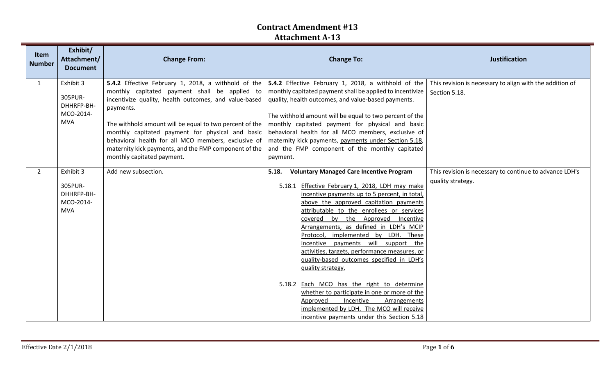| Item<br><b>Number</b> | Exhibit/<br>Attachment/<br><b>Document</b>                    | <b>Change From:</b>                                                                                                                                                                                                                                                                                                                                                                                                                     | <b>Change To:</b>                                                                                                                                                                                                                                                                                                                                                                                                                                                                                                                                                                                                                                                                                                                                                    | <b>Justification</b>                                                         |
|-----------------------|---------------------------------------------------------------|-----------------------------------------------------------------------------------------------------------------------------------------------------------------------------------------------------------------------------------------------------------------------------------------------------------------------------------------------------------------------------------------------------------------------------------------|----------------------------------------------------------------------------------------------------------------------------------------------------------------------------------------------------------------------------------------------------------------------------------------------------------------------------------------------------------------------------------------------------------------------------------------------------------------------------------------------------------------------------------------------------------------------------------------------------------------------------------------------------------------------------------------------------------------------------------------------------------------------|------------------------------------------------------------------------------|
| $\mathbf{1}$          | Exhibit 3<br>305PUR-<br>DHHRFP-BH-<br>MCO-2014-<br><b>MVA</b> | 5.4.2 Effective February 1, 2018, a withhold of the<br>monthly capitated payment shall be applied to<br>incentivize quality, health outcomes, and value-based<br>payments.<br>The withhold amount will be equal to two percent of the<br>monthly capitated payment for physical and basic<br>behavioral health for all MCO members, exclusive of<br>maternity kick payments, and the FMP component of the<br>monthly capitated payment. | <b>5.4.2</b> Effective February 1, 2018, a withhold of the<br>monthly capitated payment shall be applied to incentivize   Section 5.18.<br>quality, health outcomes, and value-based payments.<br>The withhold amount will be equal to two percent of the<br>monthly capitated payment for physical and basic<br>behavioral health for all MCO members, exclusive of<br>maternity kick payments, payments under Section 5.18,<br>and the FMP component of the monthly capitated<br>payment.                                                                                                                                                                                                                                                                          | This revision is necessary to align with the addition of                     |
| $\overline{2}$        | Exhibit 3<br>305PUR-<br>DHHRFP-BH-<br>MCO-2014-<br><b>MVA</b> | Add new subsection.                                                                                                                                                                                                                                                                                                                                                                                                                     | <b>Voluntary Managed Care Incentive Program</b><br>5.18.<br>5.18.1 Effective February 1, 2018, LDH may make<br>incentive payments up to 5 percent, in total,<br>above the approved capitation payments<br>attributable to the enrollees or services<br>covered by the Approved Incentive<br>Arrangements, as defined in LDH's MCIP<br>Protocol, implemented by LDH. These<br>incentive payments will support the<br>activities, targets, performance measures, or<br>quality-based outcomes specified in LDH's<br>quality strategy.<br>5.18.2 Each MCO has the right to determine<br>whether to participate in one or more of the<br>Approved<br>Incentive<br>Arrangements<br>implemented by LDH. The MCO will receive<br>incentive payments under this Section 5.18 | This revision is necessary to continue to advance LDH's<br>quality strategy. |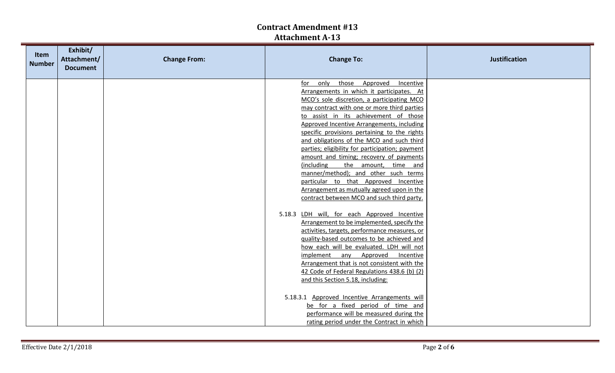| Item<br><b>Number</b> | Exhibit/<br>Attachment/<br><b>Document</b> | <b>Change From:</b> | <b>Change To:</b>                                                                                                                                                                                                                                                                                                                                                                                                                                                                                                                                                                                                                                                                                                                                                                                                                                                                                                                                                                                                                                                                                                                                                                                                                                                                                | <b>Justification</b> |
|-----------------------|--------------------------------------------|---------------------|--------------------------------------------------------------------------------------------------------------------------------------------------------------------------------------------------------------------------------------------------------------------------------------------------------------------------------------------------------------------------------------------------------------------------------------------------------------------------------------------------------------------------------------------------------------------------------------------------------------------------------------------------------------------------------------------------------------------------------------------------------------------------------------------------------------------------------------------------------------------------------------------------------------------------------------------------------------------------------------------------------------------------------------------------------------------------------------------------------------------------------------------------------------------------------------------------------------------------------------------------------------------------------------------------|----------------------|
|                       |                                            |                     | Approved<br>only<br>those<br>Incentive<br>for<br>Arrangements in which it participates. At<br>MCO's sole discretion, a participating MCO<br>may contract with one or more third parties<br>to assist in its achievement of those<br>Approved Incentive Arrangements, including<br>specific provisions pertaining to the rights<br>and obligations of the MCO and such third<br>parties; eligibility for participation; payment<br>amount and timing; recovery of payments<br>(including<br>the amount, time and<br>manner/method); and other such terms<br>particular to that Approved Incentive<br>Arrangement as mutually agreed upon in the<br>contract between MCO and such third party.<br>LDH will, for each Approved Incentive<br>5.18.3<br>Arrangement to be implemented, specify the<br>activities, targets, performance measures, or<br>quality-based outcomes to be achieved and<br>how each will be evaluated. LDH will not<br>implement any Approved<br>Incentive<br>Arrangement that is not consistent with the<br>42 Code of Federal Regulations 438.6 (b) (2)<br>and this Section 5.18, including:<br>5.18.3.1 Approved Incentive Arrangements will<br>be for a fixed period of time and<br>performance will be measured during the<br>rating period under the Contract in which |                      |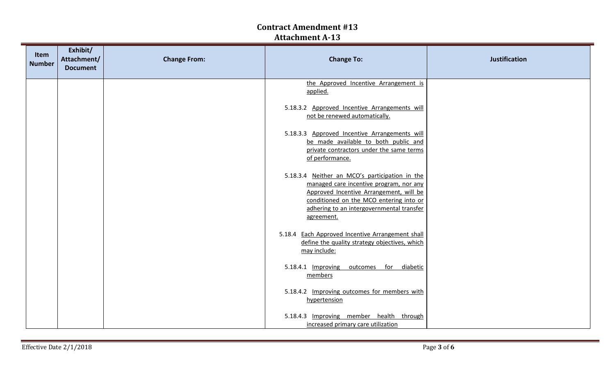| Item<br><b>Number</b> | Exhibit/<br>Attachment/<br><b>Document</b> | <b>Change From:</b> | <b>Change To:</b>                                                                                                                                                                                                                          | <b>Justification</b> |
|-----------------------|--------------------------------------------|---------------------|--------------------------------------------------------------------------------------------------------------------------------------------------------------------------------------------------------------------------------------------|----------------------|
|                       |                                            |                     | the Approved Incentive Arrangement is<br>applied.                                                                                                                                                                                          |                      |
|                       |                                            |                     | 5.18.3.2 Approved Incentive Arrangements will<br>not be renewed automatically.                                                                                                                                                             |                      |
|                       |                                            |                     | 5.18.3.3 Approved Incentive Arrangements will<br>be made available to both public and<br>private contractors under the same terms<br>of performance.                                                                                       |                      |
|                       |                                            |                     | 5.18.3.4 Neither an MCO's participation in the<br>managed care incentive program, nor any<br>Approved Incentive Arrangement, will be<br>conditioned on the MCO entering into or<br>adhering to an intergovernmental transfer<br>agreement. |                      |
|                       |                                            |                     | 5.18.4 Each Approved Incentive Arrangement shall<br>define the quality strategy objectives, which<br>may include:                                                                                                                          |                      |
|                       |                                            |                     | 5.18.4.1 Improving<br>for<br>diabetic<br>outcomes<br>members                                                                                                                                                                               |                      |
|                       |                                            |                     | 5.18.4.2 Improving outcomes for members with<br>hypertension                                                                                                                                                                               |                      |
|                       |                                            |                     | 5.18.4.3 Improving member health through<br>increased primary care utilization                                                                                                                                                             |                      |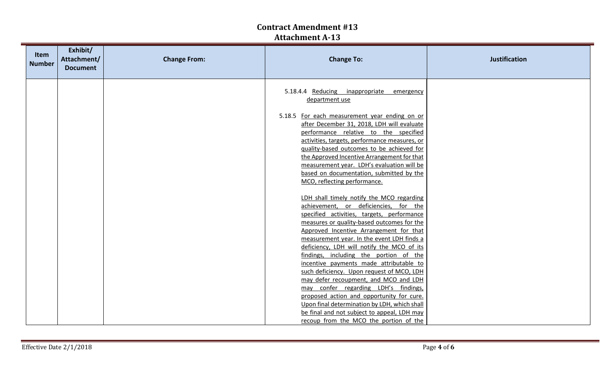| <b>Item</b><br><b>Number</b> | Exhibit/<br>Attachment/<br><b>Document</b> | <b>Change From:</b> | <b>Change To:</b>                                                                                                                                                                                                                                                                                                                                                                                     | <b>Justification</b> |
|------------------------------|--------------------------------------------|---------------------|-------------------------------------------------------------------------------------------------------------------------------------------------------------------------------------------------------------------------------------------------------------------------------------------------------------------------------------------------------------------------------------------------------|----------------------|
|                              |                                            |                     | 5.18.4.4 Reducing inappropriate<br>emergency<br>department use<br>5.18.5 For each measurement year ending on or<br>after December 31, 2018, LDH will evaluate<br>performance relative to the specified<br>activities, targets, performance measures, or<br>quality-based outcomes to be achieved for<br>the Approved Incentive Arrangement for that<br>measurement year. LDH's evaluation will be     |                      |
|                              |                                            |                     | based on documentation, submitted by the<br>MCO, reflecting performance.<br>LDH shall timely notify the MCO regarding<br>achievement, or deficiencies, for the<br>specified activities, targets, performance<br>measures or quality-based outcomes for the<br>Approved Incentive Arrangement for that<br>measurement year. In the event LDH finds a<br>deficiency, LDH will notify the MCO of its     |                      |
|                              |                                            |                     | findings, including the portion of the<br>incentive payments made attributable to<br>such deficiency. Upon request of MCO, LDH<br>may defer recoupment, and MCO and LDH<br>may confer regarding LDH's findings,<br>proposed action and opportunity for cure.<br>Upon final determination by LDH, which shall<br>be final and not subject to appeal, LDH may<br>recoup from the MCO the portion of the |                      |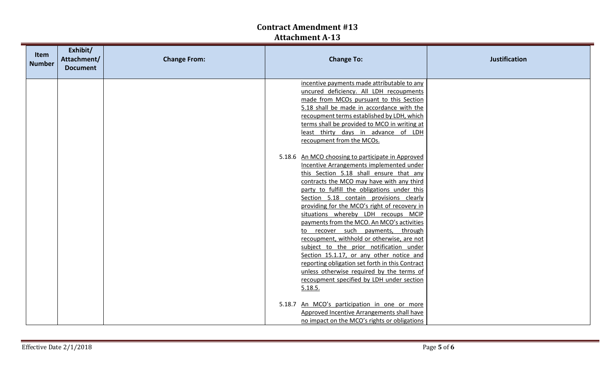| Item<br><b>Number</b> | Exhibit/<br>Attachment/<br><b>Document</b> | <b>Change From:</b> | <b>Change To:</b>                                                                                                                                                                                                                    | <b>Justification</b> |
|-----------------------|--------------------------------------------|---------------------|--------------------------------------------------------------------------------------------------------------------------------------------------------------------------------------------------------------------------------------|----------------------|
|                       |                                            |                     | incentive payments made attributable to any<br>uncured deficiency. All LDH recoupments<br>made from MCOs pursuant to this Section<br>5.18 shall be made in accordance with the                                                       |                      |
|                       |                                            |                     | recoupment terms established by LDH, which<br>terms shall be provided to MCO in writing at<br>least thirty days in advance of LDH<br>recoupment from the MCOs.                                                                       |                      |
|                       |                                            |                     | 5.18.6 An MCO choosing to participate in Approved<br>Incentive Arrangements implemented under<br>this Section 5.18 shall ensure that any<br>contracts the MCO may have with any third<br>party to fulfill the obligations under this |                      |
|                       |                                            |                     | Section 5.18 contain provisions clearly<br>providing for the MCO's right of recovery in<br>situations whereby LDH recoups MCIP<br>payments from the MCO. An MCO's activities<br>to recover such payments,<br>through                 |                      |
|                       |                                            |                     | recoupment, withhold or otherwise, are not<br>subject to the prior notification under<br>Section 15.1.17, or any other notice and<br>reporting obligation set forth in this Contract<br>unless otherwise required by the terms of    |                      |
|                       |                                            |                     | recoupment specified by LDH under section<br>5.18.5.<br>5.18.7 An MCO's participation in one or more                                                                                                                                 |                      |
|                       |                                            |                     | Approved Incentive Arrangements shall have<br>no impact on the MCO's rights or obligations                                                                                                                                           |                      |